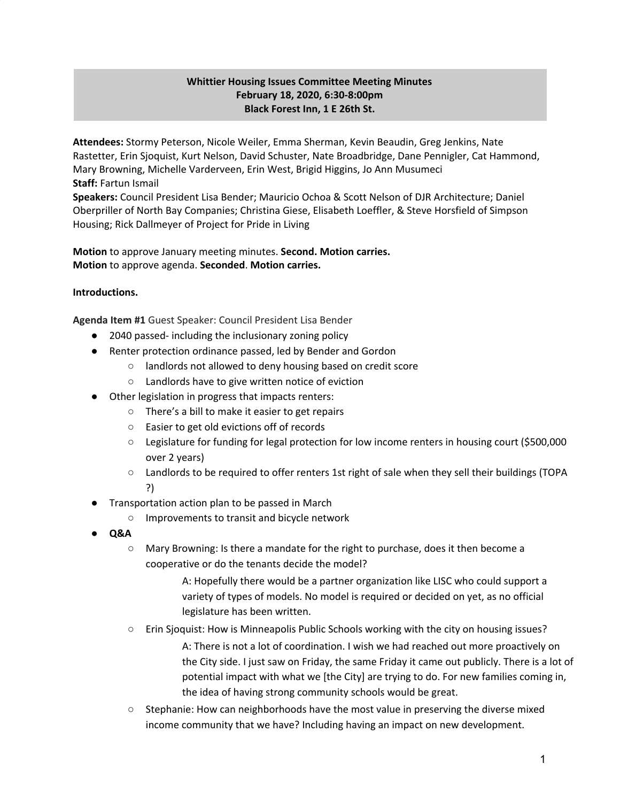# **Whittier Housing Issues Committee Meeting Minutes February 18, 2020, 6:30-8:00pm Black Forest Inn, 1 E 26th St.**

**Attendees:** Stormy Peterson, Nicole Weiler, Emma Sherman, Kevin Beaudin, Greg Jenkins, Nate Rastetter, Erin Sjoquist, Kurt Nelson, David Schuster, Nate Broadbridge, Dane Pennigler, Cat Hammond, Mary Browning, Michelle Varderveen, Erin West, Brigid Higgins, Jo Ann Musumeci **Staff:** Fartun Ismail

**Speakers:** Council President Lisa Bender; Mauricio Ochoa & Scott Nelson of DJR Architecture; Daniel Oberpriller of North Bay Companies; Christina Giese, Elisabeth Loeffler, & Steve Horsfield of Simpson Housing; Rick Dallmeyer of Project for Pride in Living

**Motion** to approve January meeting minutes. **Second. Motion carries. Motion** to approve agenda. **Seconded**. **Motion carries.**

## **Introductions.**

**Agenda Item #1** Guest Speaker: Council President Lisa Bender

- 2040 passed- including the inclusionary zoning policy
- Renter protection ordinance passed, led by Bender and Gordon
	- landlords not allowed to deny housing based on credit score
	- Landlords have to give written notice of eviction
- Other legislation in progress that impacts renters:
	- There's a bill to make it easier to get repairs
	- Easier to get old evictions off of records
	- Legislature for funding for legal protection for low income renters in housing court (\$500,000 over 2 years)
	- Landlords to be required to offer renters 1st right of sale when they sell their buildings (TOPA ?)
- Transportation action plan to be passed in March
	- Improvements to transit and bicycle network
- **● Q&A**
	- Mary Browning: Is there a mandate for the right to purchase, does it then become a cooperative or do the tenants decide the model?

A: Hopefully there would be a partner organization like LISC who could support a variety of types of models. No model is required or decided on yet, as no official legislature has been written.

○ Erin Sjoquist: How is Minneapolis Public Schools working with the city on housing issues?

A: There is not a lot of coordination. I wish we had reached out more proactively on the City side. I just saw on Friday, the same Friday it came out publicly. There is a lot of potential impact with what we [the City] are trying to do. For new families coming in, the idea of having strong community schools would be great.

 $\circ$  Stephanie: How can neighborhoods have the most value in preserving the diverse mixed income community that we have? Including having an impact on new development.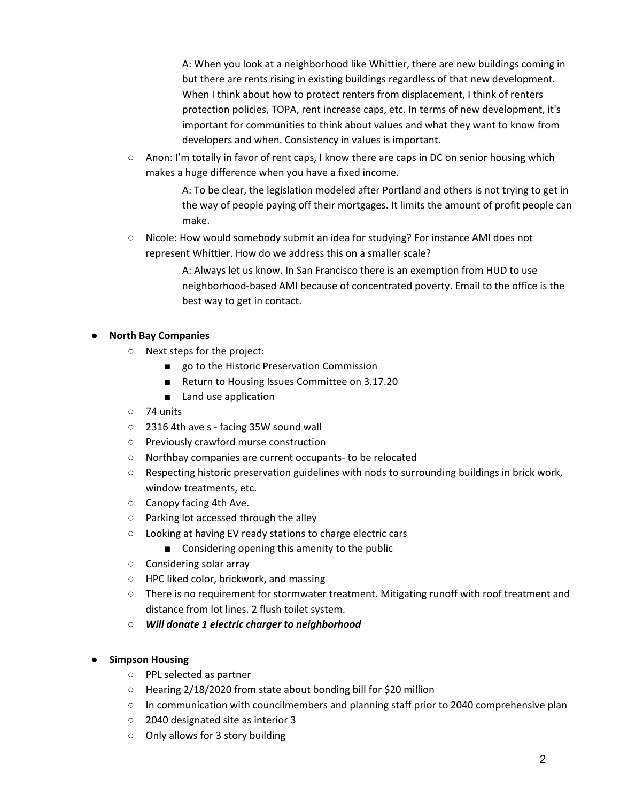A: When you look at a neighborhood like Whittier, there are new buildings coming in but there are rents rising in existing buildings regardless of that new development. When I think about how to protect renters from displacement, I think of renters protection policies, TOPA, rent increase caps, etc. In terms of new development, it's important for communities to think about values and what they want to know from developers and when. Consistency in values is important.

○ Anon: I'm totally in favor of rent caps, I know there are caps in DC on senior housing which makes a huge difference when you have a fixed income.

> A: To be clear, the legislation modeled after Portland and others is not trying to get in the way of people paying off their mortgages. It limits the amount of profit people can make.

○ Nicole: How would somebody submit an idea for studying? For instance AMI does not represent Whittier. How do we address this on a smaller scale?

> A: Always let us know. In San Francisco there is an exemption from HUD to use neighborhood-based AMI because of concentrated poverty. Email to the office is the best way to get in contact.

## **● North Bay Companies**

- Next steps for the project:
	- go to the Historic Preservation Commission
	- Return to Housing Issues Committee on 3.17.20
	- Land use application
- 74 units
- 2316 4th ave s facing 35W sound wall
- Previously crawford murse construction
- Northbay companies are current occupants- to be relocated
- Respecting historic preservation guidelines with nods to surrounding buildings in brick work, window treatments, etc.
- Canopy facing 4th Ave.
- Parking lot accessed through the alley
- Looking at having EV ready stations to charge electric cars
	- Considering opening this amenity to the public
- Considering solar array
- HPC liked color, brickwork, and massing
- There is no requirement for stormwater treatment. Mitigating runoff with roof treatment and distance from lot lines. 2 flush toilet system.
- *○ Will donate 1 electric charger to neighborhood*

#### **● Simpson Housing**

- PPL selected as partner
- Hearing 2/18/2020 from state about bonding bill for \$20 million
- In communication with councilmembers and planning staff prior to 2040 comprehensive plan
- 2040 designated site as interior 3
- Only allows for 3 story building